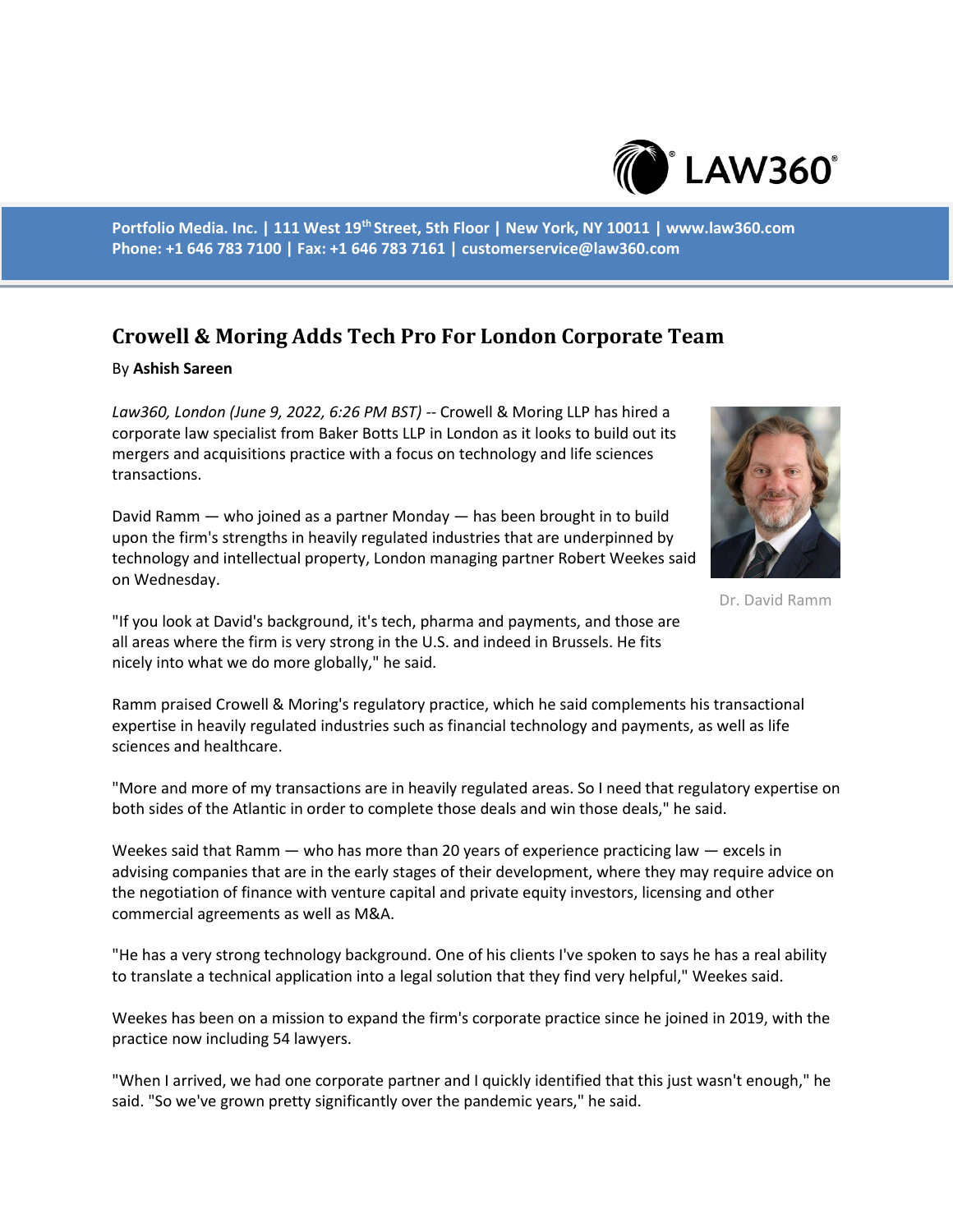

**Portfolio Media. Inc. | 111 West 19th Street, 5th Floor | New York, NY 10011 | www.law360.com Phone: +1 646 783 7100 | Fax: +1 646 783 7161 | customerservice@law360.com**

## **Crowell & Moring Adds Tech Pro For London Corporate Team**

## By **Ashish Sareen**

*Law360, London (June 9, 2022, 6:26 PM BST) --* Crowell & Moring LLP has hired a corporate law specialist from Baker Botts LLP in London as it looks to build out its mergers and acquisitions practice with a focus on technology and life sciences transactions.

David Ramm — who joined as a partner Monday — has been brought in to build upon the firm's strengths in heavily regulated industries that are underpinned by technology and intellectual property, London managing partner Robert Weekes said on Wednesday.



Dr. David Ramm

"If you look at David's background, it's tech, pharma and payments, and those are all areas where the firm is very strong in the U.S. and indeed in Brussels. He fits nicely into what we do more globally," he said.

Ramm praised Crowell & Moring's regulatory practice, which he said complements his transactional expertise in heavily regulated industries such as financial technology and payments, as well as life sciences and healthcare.

"More and more of my transactions are in heavily regulated areas. So I need that regulatory expertise on both sides of the Atlantic in order to complete those deals and win those deals," he said.

Weekes said that Ramm — who has more than 20 years of experience practicing law — excels in advising companies that are in the early stages of their development, where they may require advice on the negotiation of finance with venture capital and private equity investors, licensing and other commercial agreements as well as M&A.

"He has a very strong technology background. One of his clients I've spoken to says he has a real ability to translate a technical application into a legal solution that they find very helpful," Weekes said.

Weekes has been on a mission to expand the firm's corporate practice since he joined in 2019, with the practice now including 54 lawyers.

"When I arrived, we had one corporate partner and I quickly identified that this just wasn't enough," he said. "So we've grown pretty significantly over the pandemic years," he said.